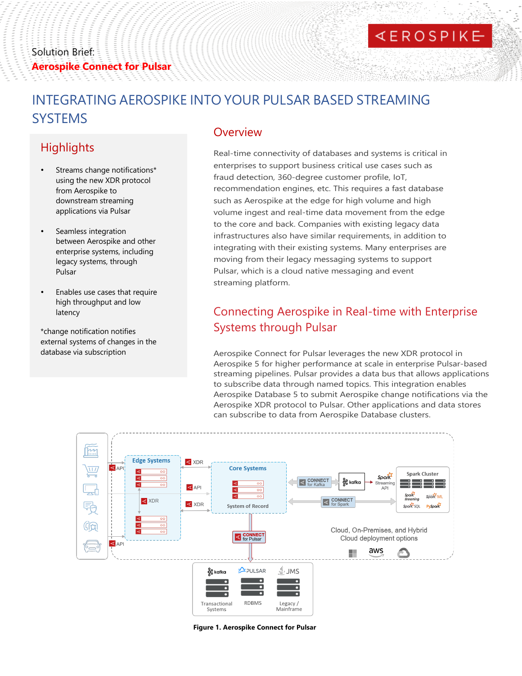#### Solution Brief: **Aerospike Connect for Pulsar**

# **KEROSPIKE**

# INTEGRATING AEROSPIKE INTO YOUR PULSAR BASED STREAMING **SYSTEMS**

## **Highlights**

- Streams change notifications\* using the new XDR protocol from Aerospike to downstream streaming applications via Pulsar
- Seamless integration between Aerospike and other enterprise systems, including legacy systems, through Pulsar
- Enables use cases that require high throughput and low latency

\*change notification notifies external systems of changes in the database via subscription

#### **Overview**

Real-time connectivity of databases and systems is critical in enterprises to support business critical use cases such as fraud detection, 360-degree customer profile, IoT, recommendation engines, etc. This requires a fast database such as Aerospike at the edge for high volume and high volume ingest and real-time data movement from the edge to the core and back. Companies with existing legacy data infrastructures also have similar requirements, in addition to integrating with their existing systems. Many enterprises are moving from their legacy messaging systems to support Pulsar, which is a cloud native messaging and event streaming platform.

### Connecting Aerospike in Real-time with Enterprise Systems through Pulsar

Aerospike Connect for Pulsar leverages the new XDR protocol in Aerospike 5 for higher performance at scale in enterprise Pulsar-based streaming pipelines. Pulsar provides a data bus that allows applications to subscribe data through named topics. This integration enables Aerospike Database 5 to submit Aerospike change notifications via the Aerospike XDR protocol to Pulsar. Other applications and data stores can subscribe to data from Aerospike Database clusters.



**Figure 1. Aerospike Connect for Pulsar**